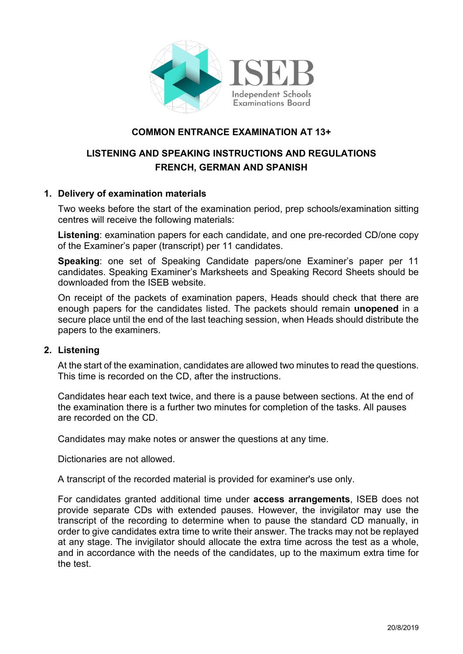

# **COMMON ENTRANCE EXAMINATION AT 13+**

# **LISTENING AND SPEAKING INSTRUCTIONS AND REGULATIONS FRENCH, GERMAN AND SPANISH**

### **1. Delivery of examination materials**

Two weeks before the start of the examination period, prep schools/examination sitting centres will receive the following materials:

**Listening**: examination papers for each candidate, and one pre-recorded CD/one copy of the Examiner's paper (transcript) per 11 candidates.

**Speaking**: one set of Speaking Candidate papers/one Examiner's paper per 11 candidates. Speaking Examiner's Marksheets and Speaking Record Sheets should be downloaded from the ISEB website.

On receipt of the packets of examination papers, Heads should check that there are enough papers for the candidates listed. The packets should remain **unopened** in a secure place until the end of the last teaching session, when Heads should distribute the papers to the examiners.

#### **2. Listening**

At the start of the examination, candidates are allowed two minutes to read the questions. This time is recorded on the CD, after the instructions.

Candidates hear each text twice, and there is a pause between sections. At the end of the examination there is a further two minutes for completion of the tasks. All pauses are recorded on the CD.

Candidates may make notes or answer the questions at any time.

Dictionaries are not allowed.

A transcript of the recorded material is provided for examiner's use only.

For candidates granted additional time under **access arrangements**, ISEB does not provide separate CDs with extended pauses. However, the invigilator may use the transcript of the recording to determine when to pause the standard CD manually, in order to give candidates extra time to write their answer. The tracks may not be replayed at any stage. The invigilator should allocate the extra time across the test as a whole, and in accordance with the needs of the candidates, up to the maximum extra time for the test.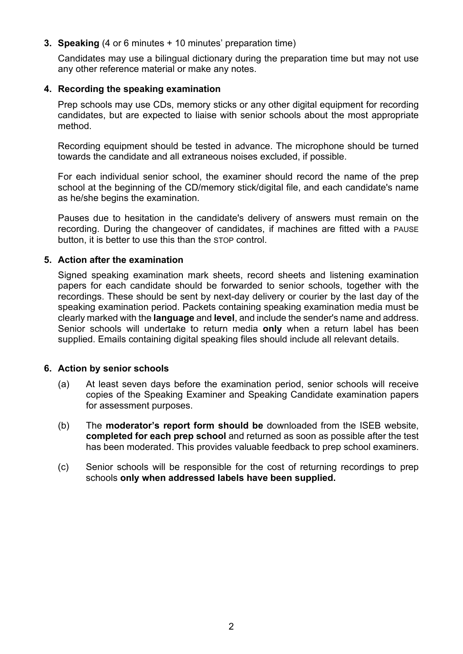# **3. Speaking** (4 or 6 minutes + 10 minutes' preparation time)

Candidates may use a bilingual dictionary during the preparation time but may not use any other reference material or make any notes.

# **4. Recording the speaking examination**

Prep schools may use CDs, memory sticks or any other digital equipment for recording candidates, but are expected to liaise with senior schools about the most appropriate method.

Recording equipment should be tested in advance. The microphone should be turned towards the candidate and all extraneous noises excluded, if possible.

For each individual senior school, the examiner should record the name of the prep school at the beginning of the CD/memory stick/digital file, and each candidate's name as he/she begins the examination.

Pauses due to hesitation in the candidate's delivery of answers must remain on the recording. During the changeover of candidates, if machines are fitted with a PAUSE button, it is better to use this than the STOP control.

#### **5. Action after the examination**

Signed speaking examination mark sheets, record sheets and listening examination papers for each candidate should be forwarded to senior schools, together with the recordings. These should be sent by next-day delivery or courier by the last day of the speaking examination period. Packets containing speaking examination media must be clearly marked with the **language** and **level**, and include the sender's name and address. Senior schools will undertake to return media **only** when a return label has been supplied. Emails containing digital speaking files should include all relevant details.

#### **6. Action by senior schools**

- (a) At least seven days before the examination period, senior schools will receive copies of the Speaking Examiner and Speaking Candidate examination papers for assessment purposes.
- (b) The **moderator's report form should be** downloaded from the ISEB website, **completed for each prep school** and returned as soon as possible after the test has been moderated. This provides valuable feedback to prep school examiners.
- (c) Senior schools will be responsible for the cost of returning recordings to prep schools **only when addressed labels have been supplied.**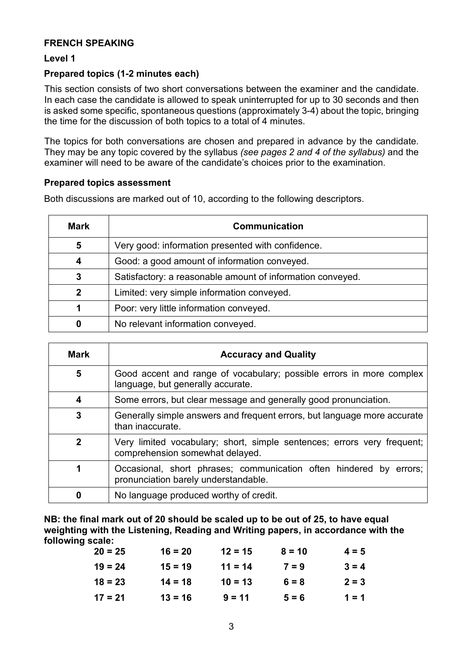### **FRENCH SPEAKING**

## **Level 1**

## **Prepared topics (1-2 minutes each)**

This section consists of two short conversations between the examiner and the candidate. In each case the candidate is allowed to speak uninterrupted for up to 30 seconds and then is asked some specific, spontaneous questions (approximately 3-4) about the topic, bringing the time for the discussion of both topics to a total of 4 minutes.

The topics for both conversations are chosen and prepared in advance by the candidate. They may be any topic covered by the syllabus *(see pages 2 and 4 of the syllabus)* and the examiner will need to be aware of the candidate's choices prior to the examination.

### **Prepared topics assessment**

Both discussions are marked out of 10, according to the following descriptors.

| Mark        | <b>Communication</b>                                       |
|-------------|------------------------------------------------------------|
| 5           | Very good: information presented with confidence.          |
| 4           | Good: a good amount of information conveyed.               |
| 3           | Satisfactory: a reasonable amount of information conveyed. |
| $\mathbf 2$ | Limited: very simple information conveyed.                 |
|             | Poor: very little information conveyed.                    |
|             | No relevant information conveyed.                          |

| <b>Mark</b> | <b>Accuracy and Quality</b>                                                                                   |  |  |
|-------------|---------------------------------------------------------------------------------------------------------------|--|--|
| 5           | Good accent and range of vocabulary; possible errors in more complex<br>language, but generally accurate.     |  |  |
| 4           | Some errors, but clear message and generally good pronunciation.                                              |  |  |
| 3           | Generally simple answers and frequent errors, but language more accurate<br>than inaccurate.                  |  |  |
| 2           | Very limited vocabulary; short, simple sentences; errors very frequent;<br>comprehension somewhat delayed.    |  |  |
|             | Occasional, short phrases; communication often hindered by<br>errors:<br>pronunciation barely understandable. |  |  |
|             | No language produced worthy of credit.                                                                        |  |  |

**NB: the final mark out of 20 should be scaled up to be out of 25, to have equal weighting with the Listening, Reading and Writing papers, in accordance with the following scale:** 

| $20 = 25$ | $16 = 20$ | $12 = 15$ | $8 = 10$ | $4 = 5$ |
|-----------|-----------|-----------|----------|---------|
| $19 = 24$ | $15 = 19$ | $11 = 14$ | $7 = 9$  | $3 = 4$ |
| $18 = 23$ | $14 = 18$ | $10 = 13$ | $6 = 8$  | $2 = 3$ |
| $17 = 21$ | $13 = 16$ | $9 = 11$  | $5 = 6$  | $1 = 1$ |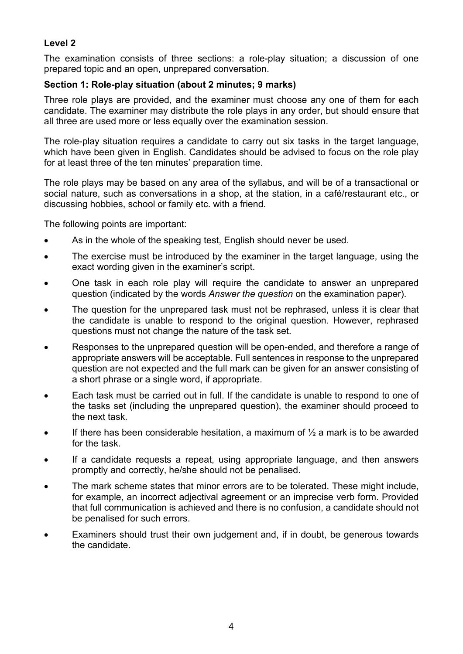# **Level 2**

The examination consists of three sections: a role-play situation; a discussion of one prepared topic and an open, unprepared conversation.

# **Section 1: Role-play situation (about 2 minutes; 9 marks)**

Three role plays are provided, and the examiner must choose any one of them for each candidate. The examiner may distribute the role plays in any order, but should ensure that all three are used more or less equally over the examination session.

The role-play situation requires a candidate to carry out six tasks in the target language, which have been given in English. Candidates should be advised to focus on the role play for at least three of the ten minutes' preparation time.

The role plays may be based on any area of the syllabus, and will be of a transactional or social nature, such as conversations in a shop, at the station, in a café/restaurant etc., or discussing hobbies, school or family etc. with a friend.

The following points are important:

- As in the whole of the speaking test, English should never be used.
- The exercise must be introduced by the examiner in the target language, using the exact wording given in the examiner's script.
- One task in each role play will require the candidate to answer an unprepared question (indicated by the words *Answer the question* on the examination paper).
- The question for the unprepared task must not be rephrased, unless it is clear that the candidate is unable to respond to the original question. However, rephrased questions must not change the nature of the task set.
- Responses to the unprepared question will be open-ended, and therefore a range of appropriate answers will be acceptable. Full sentences in response to the unprepared question are not expected and the full mark can be given for an answer consisting of a short phrase or a single word, if appropriate.
- Each task must be carried out in full. If the candidate is unable to respond to one of the tasks set (including the unprepared question), the examiner should proceed to the next task.
- If there has been considerable hesitation, a maximum of  $\frac{1}{2}$  a mark is to be awarded for the task.
- If a candidate requests a repeat, using appropriate language, and then answers promptly and correctly, he/she should not be penalised.
- The mark scheme states that minor errors are to be tolerated. These might include, for example, an incorrect adjectival agreement or an imprecise verb form. Provided that full communication is achieved and there is no confusion, a candidate should not be penalised for such errors.
- Examiners should trust their own judgement and, if in doubt, be generous towards the candidate.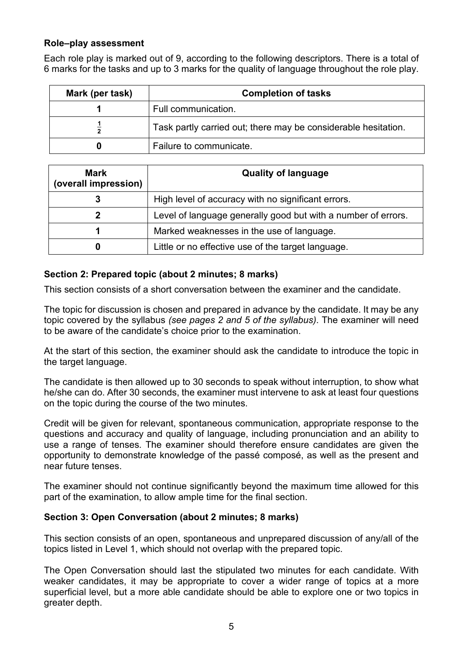## **Role–play assessment**

Each role play is marked out of 9, according to the following descriptors. There is a total of 6 marks for the tasks and up to 3 marks for the quality of language throughout the role play.

| <b>Completion of tasks</b><br>Mark (per task) |                                                                |
|-----------------------------------------------|----------------------------------------------------------------|
|                                               | Full communication.                                            |
|                                               | Task partly carried out; there may be considerable hesitation. |
| o                                             | Failure to communicate.                                        |

| <b>Mark</b><br>(overall impression) | <b>Quality of language</b>                                    |  |  |
|-------------------------------------|---------------------------------------------------------------|--|--|
|                                     | High level of accuracy with no significant errors.            |  |  |
|                                     | Level of language generally good but with a number of errors. |  |  |
|                                     | Marked weaknesses in the use of language.                     |  |  |
|                                     | Little or no effective use of the target language.            |  |  |

# **Section 2: Prepared topic (about 2 minutes; 8 marks)**

This section consists of a short conversation between the examiner and the candidate.

The topic for discussion is chosen and prepared in advance by the candidate. It may be any topic covered by the syllabus *(see pages 2 and 5 of the syllabus)*. The examiner will need to be aware of the candidate's choice prior to the examination.

At the start of this section, the examiner should ask the candidate to introduce the topic in the target language.

The candidate is then allowed up to 30 seconds to speak without interruption, to show what he/she can do. After 30 seconds, the examiner must intervene to ask at least four questions on the topic during the course of the two minutes.

Credit will be given for relevant, spontaneous communication, appropriate response to the questions and accuracy and quality of language, including pronunciation and an ability to use a range of tenses. The examiner should therefore ensure candidates are given the opportunity to demonstrate knowledge of the passé composé, as well as the present and near future tenses.

The examiner should not continue significantly beyond the maximum time allowed for this part of the examination, to allow ample time for the final section.

#### **Section 3: Open Conversation (about 2 minutes; 8 marks)**

This section consists of an open, spontaneous and unprepared discussion of any/all of the topics listed in Level 1, which should not overlap with the prepared topic.

The Open Conversation should last the stipulated two minutes for each candidate. With weaker candidates, it may be appropriate to cover a wider range of topics at a more superficial level, but a more able candidate should be able to explore one or two topics in greater depth.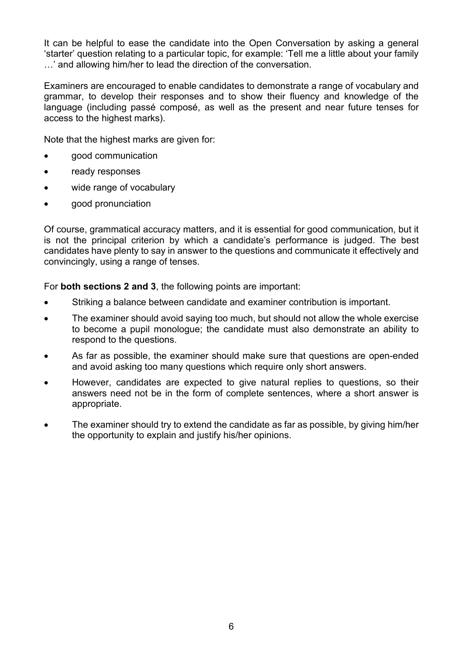It can be helpful to ease the candidate into the Open Conversation by asking a general 'starter' question relating to a particular topic, for example: 'Tell me a little about your family …' and allowing him/her to lead the direction of the conversation.

Examiners are encouraged to enable candidates to demonstrate a range of vocabulary and grammar, to develop their responses and to show their fluency and knowledge of the language (including passé composé, as well as the present and near future tenses for access to the highest marks).

Note that the highest marks are given for:

- good communication
- ready responses
- wide range of vocabulary
- good pronunciation

Of course, grammatical accuracy matters, and it is essential for good communication, but it is not the principal criterion by which a candidate's performance is judged. The best candidates have plenty to say in answer to the questions and communicate it effectively and convincingly, using a range of tenses.

For **both sections 2 and 3**, the following points are important:

- Striking a balance between candidate and examiner contribution is important.
- The examiner should avoid saying too much, but should not allow the whole exercise to become a pupil monologue; the candidate must also demonstrate an ability to respond to the questions.
- As far as possible, the examiner should make sure that questions are open-ended and avoid asking too many questions which require only short answers.
- However, candidates are expected to give natural replies to questions, so their answers need not be in the form of complete sentences, where a short answer is appropriate.
- The examiner should try to extend the candidate as far as possible, by giving him/her the opportunity to explain and justify his/her opinions.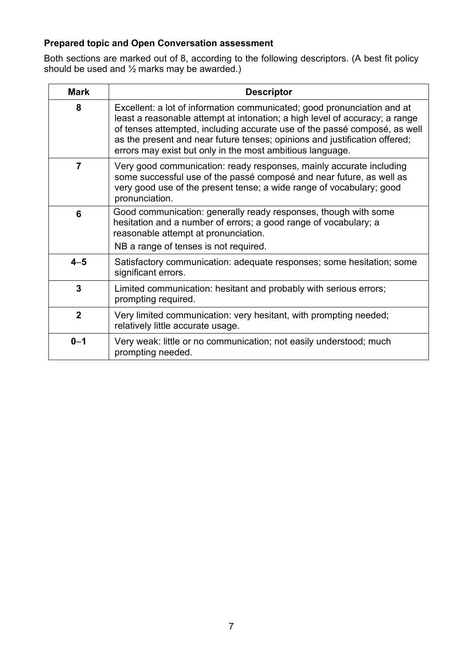# **Prepared topic and Open Conversation assessment**

Both sections are marked out of 8, according to the following descriptors. (A best fit policy should be used and ½ marks may be awarded.)

| <b>Mark</b>    | <b>Descriptor</b>                                                                                                                                                                                                                                                                                                                                                              |
|----------------|--------------------------------------------------------------------------------------------------------------------------------------------------------------------------------------------------------------------------------------------------------------------------------------------------------------------------------------------------------------------------------|
| 8              | Excellent: a lot of information communicated; good pronunciation and at<br>least a reasonable attempt at intonation; a high level of accuracy; a range<br>of tenses attempted, including accurate use of the passé composé, as well<br>as the present and near future tenses; opinions and justification offered;<br>errors may exist but only in the most ambitious language. |
| $\overline{7}$ | Very good communication: ready responses, mainly accurate including<br>some successful use of the passé composé and near future, as well as<br>very good use of the present tense; a wide range of vocabulary; good<br>pronunciation.                                                                                                                                          |
| 6              | Good communication: generally ready responses, though with some<br>hesitation and a number of errors; a good range of vocabulary; a<br>reasonable attempt at pronunciation.                                                                                                                                                                                                    |
|                | NB a range of tenses is not required.                                                                                                                                                                                                                                                                                                                                          |
| $4 - 5$        | Satisfactory communication: adequate responses; some hesitation; some<br>significant errors.                                                                                                                                                                                                                                                                                   |
| 3              | Limited communication: hesitant and probably with serious errors;<br>prompting required.                                                                                                                                                                                                                                                                                       |
| $\overline{2}$ | Very limited communication: very hesitant, with prompting needed;<br>relatively little accurate usage.                                                                                                                                                                                                                                                                         |
| $0 - 1$        | Very weak: little or no communication; not easily understood; much<br>prompting needed.                                                                                                                                                                                                                                                                                        |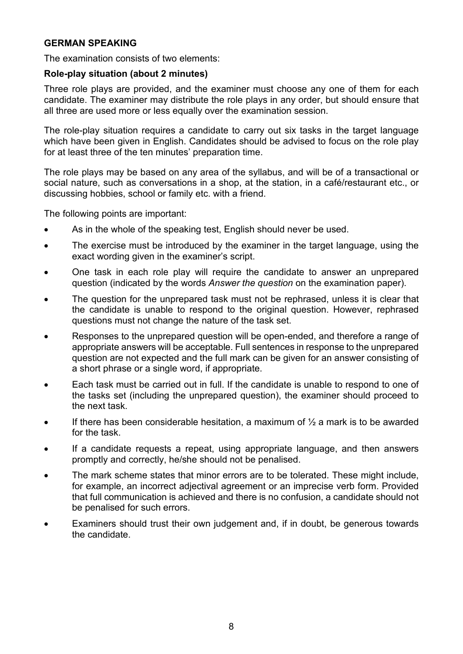#### **GERMAN SPEAKING**

The examination consists of two elements:

#### **Role-play situation (about 2 minutes)**

Three role plays are provided, and the examiner must choose any one of them for each candidate. The examiner may distribute the role plays in any order, but should ensure that all three are used more or less equally over the examination session.

The role-play situation requires a candidate to carry out six tasks in the target language which have been given in English. Candidates should be advised to focus on the role play for at least three of the ten minutes' preparation time.

The role plays may be based on any area of the syllabus, and will be of a transactional or social nature, such as conversations in a shop, at the station, in a café/restaurant etc., or discussing hobbies, school or family etc. with a friend.

The following points are important:

- As in the whole of the speaking test, English should never be used.
- The exercise must be introduced by the examiner in the target language, using the exact wording given in the examiner's script.
- One task in each role play will require the candidate to answer an unprepared question (indicated by the words *Answer the question* on the examination paper).
- The question for the unprepared task must not be rephrased, unless it is clear that the candidate is unable to respond to the original question. However, rephrased questions must not change the nature of the task set.
- Responses to the unprepared question will be open-ended, and therefore a range of appropriate answers will be acceptable. Full sentences in response to the unprepared question are not expected and the full mark can be given for an answer consisting of a short phrase or a single word, if appropriate.
- Each task must be carried out in full. If the candidate is unable to respond to one of the tasks set (including the unprepared question), the examiner should proceed to the next task.
- If there has been considerable hesitation, a maximum of  $\frac{1}{2}$  a mark is to be awarded for the task.
- If a candidate requests a repeat, using appropriate language, and then answers promptly and correctly, he/she should not be penalised.
- The mark scheme states that minor errors are to be tolerated. These might include, for example, an incorrect adjectival agreement or an imprecise verb form. Provided that full communication is achieved and there is no confusion, a candidate should not be penalised for such errors.
- Examiners should trust their own judgement and, if in doubt, be generous towards the candidate.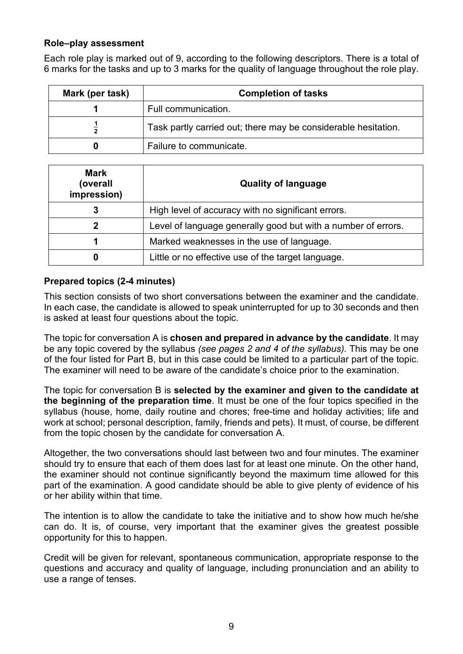### **Role–play assessment**

Each role play is marked out of 9, according to the following descriptors. There is a total of 6 marks for the tasks and up to 3 marks for the quality of language throughout the role play.

| Mark (per task) | <b>Completion of tasks</b>                                     |
|-----------------|----------------------------------------------------------------|
|                 | Full communication.                                            |
|                 | Task partly carried out; there may be considerable hesitation. |
|                 | Failure to communicate.                                        |

| <b>Mark</b><br>(overall<br>impression) | <b>Quality of language</b>                                    |
|----------------------------------------|---------------------------------------------------------------|
| 3                                      | High level of accuracy with no significant errors.            |
| כי                                     | Level of language generally good but with a number of errors. |
|                                        | Marked weaknesses in the use of language.                     |
|                                        | Little or no effective use of the target language.            |

# **Prepared topics (2-4 minutes)**

This section consists of two short conversations between the examiner and the candidate. In each case, the candidate is allowed to speak uninterrupted for up to 30 seconds and then is asked at least four questions about the topic.

The topic for conversation A is **chosen and prepared in advance by the candidate**. It may be any topic covered by the syllabus *(see pages 2 and 4 of the syllabus).* This may be one of the four listed for Part B, but in this case could be limited to a particular part of the topic. The examiner will need to be aware of the candidate's choice prior to the examination.

The topic for conversation B is **selected by the examiner and given to the candidate at the beginning of the preparation time**. It must be one of the four topics specified in the syllabus (house, home, daily routine and chores; free-time and holiday activities; life and work at school; personal description, family, friends and pets). It must, of course, be different from the topic chosen by the candidate for conversation A.

Altogether, the two conversations should last between two and four minutes. The examiner should try to ensure that each of them does last for at least one minute. On the other hand, the examiner should not continue significantly beyond the maximum time allowed for this part of the examination. A good candidate should be able to give plenty of evidence of his or her ability within that time.

The intention is to allow the candidate to take the initiative and to show how much he/she can do. It is, of course, very important that the examiner gives the greatest possible opportunity for this to happen.

Credit will be given for relevant, spontaneous communication, appropriate response to the questions and accuracy and quality of language, including pronunciation and an ability to use a range of tenses.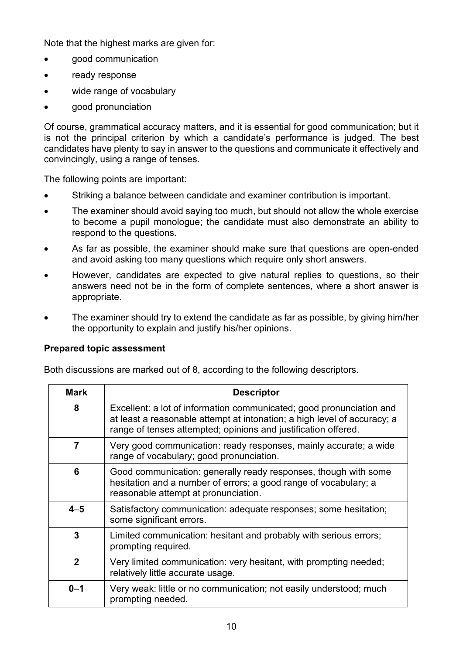Note that the highest marks are given for:

- good communication
- ready response
- wide range of vocabulary
- good pronunciation

Of course, grammatical accuracy matters, and it is essential for good communication; but it is not the principal criterion by which a candidate's performance is judged. The best candidates have plenty to say in answer to the questions and communicate it effectively and convincingly, using a range of tenses.

The following points are important:

- Striking a balance between candidate and examiner contribution is important.
- The examiner should avoid saying too much, but should not allow the whole exercise to become a pupil monologue; the candidate must also demonstrate an ability to respond to the questions.
- As far as possible, the examiner should make sure that questions are open-ended and avoid asking too many questions which require only short answers.
- However, candidates are expected to give natural replies to questions, so their answers need not be in the form of complete sentences, where a short answer is appropriate.
- The examiner should try to extend the candidate as far as possible, by giving him/her the opportunity to explain and justify his/her opinions.

#### **Prepared topic assessment**

Both discussions are marked out of 8, according to the following descriptors.

| <b>Mark</b>  | <b>Descriptor</b>                                                                                                                                                                                                  |
|--------------|--------------------------------------------------------------------------------------------------------------------------------------------------------------------------------------------------------------------|
| 8            | Excellent: a lot of information communicated; good pronunciation and<br>at least a reasonable attempt at intonation; a high level of accuracy; a<br>range of tenses attempted; opinions and justification offered. |
| 7            | Very good communication: ready responses, mainly accurate; a wide<br>range of vocabulary; good pronunciation.                                                                                                      |
| 6            | Good communication: generally ready responses, though with some<br>hesitation and a number of errors; a good range of vocabulary; a<br>reasonable attempt at pronunciation.                                        |
| $4 - 5$      | Satisfactory communication: adequate responses; some hesitation;<br>some significant errors.                                                                                                                       |
| $\mathbf{3}$ | Limited communication: hesitant and probably with serious errors;<br>prompting required.                                                                                                                           |
| $\mathbf{2}$ | Very limited communication: very hesitant, with prompting needed;<br>relatively little accurate usage.                                                                                                             |
| $0 - 1$      | Very weak: little or no communication; not easily understood; much<br>prompting needed.                                                                                                                            |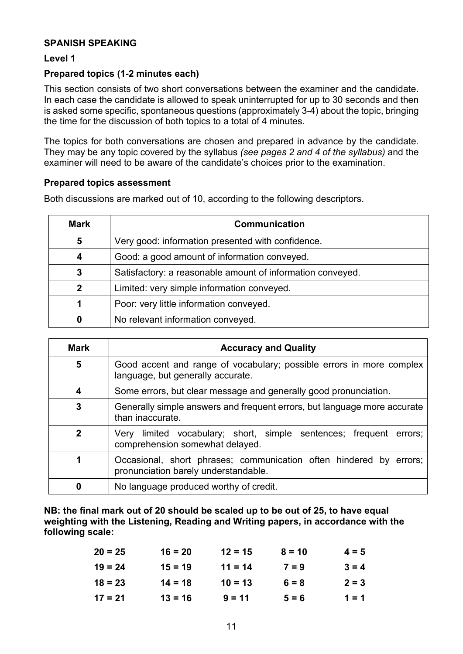### **SPANISH SPEAKING**

### **Level 1**

# **Prepared topics (1-2 minutes each)**

This section consists of two short conversations between the examiner and the candidate. In each case the candidate is allowed to speak uninterrupted for up to 30 seconds and then is asked some specific, spontaneous questions (approximately 3-4) about the topic, bringing the time for the discussion of both topics to a total of 4 minutes.

The topics for both conversations are chosen and prepared in advance by the candidate. They may be any topic covered by the syllabus *(see pages 2 and 4 of the syllabus)* and the examiner will need to be aware of the candidate's choices prior to the examination.

### **Prepared topics assessment**

Both discussions are marked out of 10, according to the following descriptors.

| <b>Mark</b>  | <b>Communication</b>                                       |
|--------------|------------------------------------------------------------|
| 5            | Very good: information presented with confidence.          |
| 4            | Good: a good amount of information conveyed.               |
| 3            | Satisfactory: a reasonable amount of information conveyed. |
| $\mathbf{2}$ | Limited: very simple information conveyed.                 |
|              | Poor: very little information conveyed.                    |
|              | No relevant information conveyed.                          |

| <b>Mark</b> | <b>Accuracy and Quality</b>                                                                                |  |  |  |
|-------------|------------------------------------------------------------------------------------------------------------|--|--|--|
| 5           | Good accent and range of vocabulary; possible errors in more complex<br>language, but generally accurate.  |  |  |  |
| 4           | Some errors, but clear message and generally good pronunciation.                                           |  |  |  |
| 3           | Generally simple answers and frequent errors, but language more accurate<br>than inaccurate.               |  |  |  |
| 2           | limited vocabulary; short, simple sentences; frequent errors;<br>Very<br>comprehension somewhat delayed.   |  |  |  |
|             | Occasional, short phrases; communication often hindered by errors;<br>pronunciation barely understandable. |  |  |  |
|             | No language produced worthy of credit.                                                                     |  |  |  |

**NB: the final mark out of 20 should be scaled up to be out of 25, to have equal weighting with the Listening, Reading and Writing papers, in accordance with the following scale:** 

| $20 = 25$ | $16 = 20$ | $12 = 15$ | $8 = 10$ | $4 = 5$ |
|-----------|-----------|-----------|----------|---------|
| $19 = 24$ | $15 = 19$ | $11 = 14$ | $7 = 9$  | $3 = 4$ |
| $18 = 23$ | $14 = 18$ | $10 = 13$ | $6 = 8$  | $2 = 3$ |
| $17 = 21$ | $13 = 16$ | $9 = 11$  | $5 = 6$  | $1 = 1$ |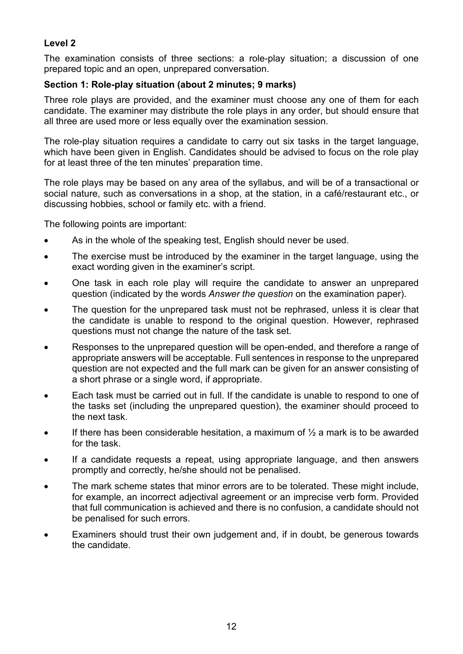# **Level 2**

The examination consists of three sections: a role-play situation; a discussion of one prepared topic and an open, unprepared conversation.

# **Section 1: Role-play situation (about 2 minutes; 9 marks)**

Three role plays are provided, and the examiner must choose any one of them for each candidate. The examiner may distribute the role plays in any order, but should ensure that all three are used more or less equally over the examination session.

The role-play situation requires a candidate to carry out six tasks in the target language, which have been given in English. Candidates should be advised to focus on the role play for at least three of the ten minutes' preparation time.

The role plays may be based on any area of the syllabus, and will be of a transactional or social nature, such as conversations in a shop, at the station, in a café/restaurant etc., or discussing hobbies, school or family etc. with a friend.

The following points are important:

- As in the whole of the speaking test, English should never be used.
- The exercise must be introduced by the examiner in the target language, using the exact wording given in the examiner's script.
- One task in each role play will require the candidate to answer an unprepared question (indicated by the words *Answer the question* on the examination paper).
- The question for the unprepared task must not be rephrased, unless it is clear that the candidate is unable to respond to the original question. However, rephrased questions must not change the nature of the task set.
- Responses to the unprepared question will be open-ended, and therefore a range of appropriate answers will be acceptable. Full sentences in response to the unprepared question are not expected and the full mark can be given for an answer consisting of a short phrase or a single word, if appropriate.
- Each task must be carried out in full. If the candidate is unable to respond to one of the tasks set (including the unprepared question), the examiner should proceed to the next task.
- If there has been considerable hesitation, a maximum of  $\frac{1}{2}$  a mark is to be awarded for the task.
- If a candidate requests a repeat, using appropriate language, and then answers promptly and correctly, he/she should not be penalised.
- The mark scheme states that minor errors are to be tolerated. These might include, for example, an incorrect adjectival agreement or an imprecise verb form. Provided that full communication is achieved and there is no confusion, a candidate should not be penalised for such errors.
- Examiners should trust their own judgement and, if in doubt, be generous towards the candidate.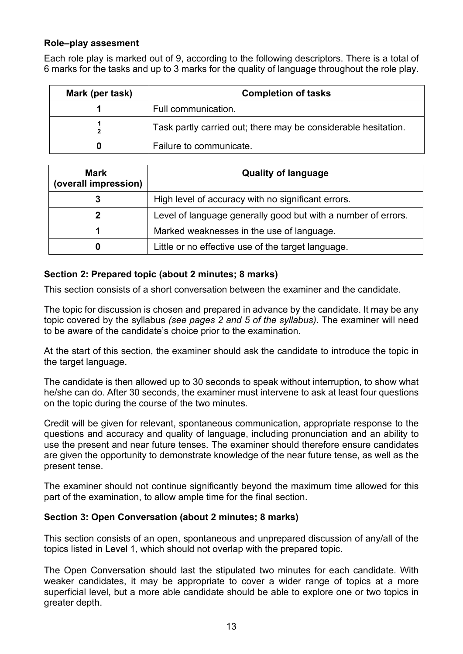# **Role–play assesment**

Each role play is marked out of 9, according to the following descriptors. There is a total of 6 marks for the tasks and up to 3 marks for the quality of language throughout the role play.

| Mark (per task) | <b>Completion of tasks</b>                                     |
|-----------------|----------------------------------------------------------------|
|                 | Full communication.                                            |
|                 | Task partly carried out; there may be considerable hesitation. |
| 0               | Failure to communicate.                                        |

| <b>Mark</b><br>(overall impression) | <b>Quality of language</b>                                    |
|-------------------------------------|---------------------------------------------------------------|
|                                     | High level of accuracy with no significant errors.            |
|                                     | Level of language generally good but with a number of errors. |
|                                     | Marked weaknesses in the use of language.                     |
| U                                   | Little or no effective use of the target language.            |

# **Section 2: Prepared topic (about 2 minutes; 8 marks)**

This section consists of a short conversation between the examiner and the candidate.

The topic for discussion is chosen and prepared in advance by the candidate. It may be any topic covered by the syllabus *(see pages 2 and 5 of the syllabus)*. The examiner will need to be aware of the candidate's choice prior to the examination.

At the start of this section, the examiner should ask the candidate to introduce the topic in the target language.

The candidate is then allowed up to 30 seconds to speak without interruption, to show what he/she can do. After 30 seconds, the examiner must intervene to ask at least four questions on the topic during the course of the two minutes.

Credit will be given for relevant, spontaneous communication, appropriate response to the questions and accuracy and quality of language, including pronunciation and an ability to use the present and near future tenses. The examiner should therefore ensure candidates are given the opportunity to demonstrate knowledge of the near future tense, as well as the present tense.

The examiner should not continue significantly beyond the maximum time allowed for this part of the examination, to allow ample time for the final section.

# **Section 3: Open Conversation (about 2 minutes; 8 marks)**

This section consists of an open, spontaneous and unprepared discussion of any/all of the topics listed in Level 1, which should not overlap with the prepared topic.

The Open Conversation should last the stipulated two minutes for each candidate. With weaker candidates, it may be appropriate to cover a wider range of topics at a more superficial level, but a more able candidate should be able to explore one or two topics in greater depth.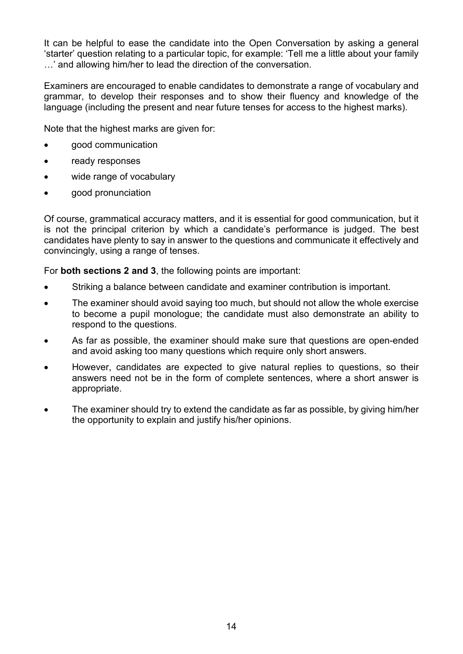It can be helpful to ease the candidate into the Open Conversation by asking a general 'starter' question relating to a particular topic, for example: 'Tell me a little about your family …' and allowing him/her to lead the direction of the conversation.

Examiners are encouraged to enable candidates to demonstrate a range of vocabulary and grammar, to develop their responses and to show their fluency and knowledge of the language (including the present and near future tenses for access to the highest marks).

Note that the highest marks are given for:

- good communication
- ready responses
- wide range of vocabulary
- good pronunciation

Of course, grammatical accuracy matters, and it is essential for good communication, but it is not the principal criterion by which a candidate's performance is judged. The best candidates have plenty to say in answer to the questions and communicate it effectively and convincingly, using a range of tenses.

For **both sections 2 and 3**, the following points are important:

- Striking a balance between candidate and examiner contribution is important.
- The examiner should avoid saying too much, but should not allow the whole exercise to become a pupil monologue; the candidate must also demonstrate an ability to respond to the questions.
- As far as possible, the examiner should make sure that questions are open-ended and avoid asking too many questions which require only short answers.
- However, candidates are expected to give natural replies to questions, so their answers need not be in the form of complete sentences, where a short answer is appropriate.
- The examiner should try to extend the candidate as far as possible, by giving him/her the opportunity to explain and justify his/her opinions.